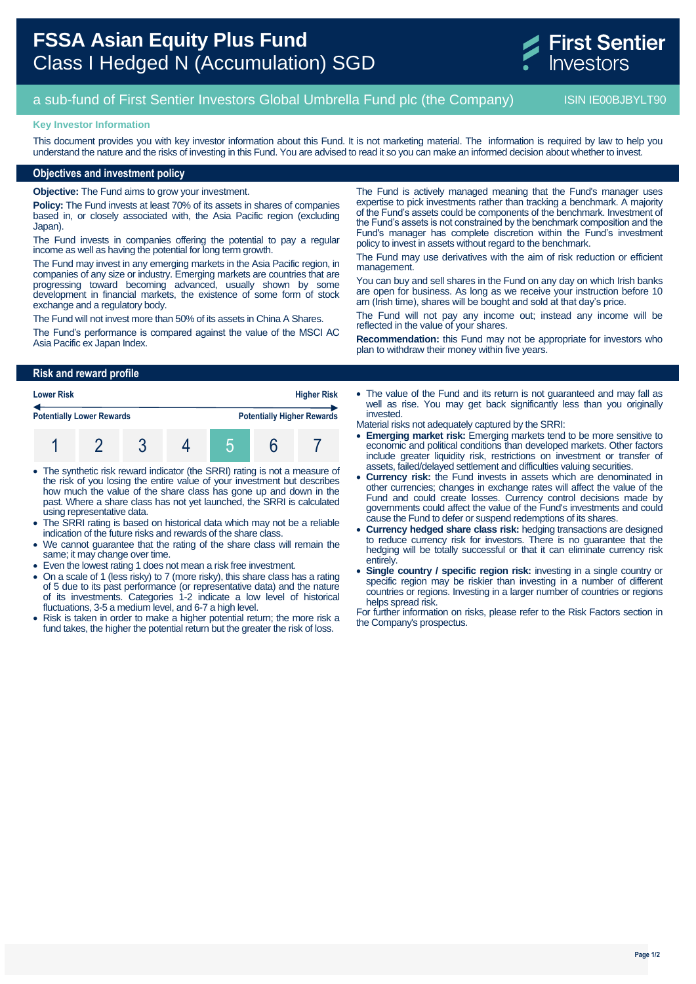

# a sub-fund of First Sentier Investors Global Umbrella Fund plc (the Company) ISIN IE00BJBYLT90

### **Key Investor Information**

This document provides you with key investor information about this Fund. It is not marketing material. The information is required by law to help you understand the nature and the risks of investing in this Fund. You are advised to read it so you can make an informed decision about whether to invest.

## **Objectives and investment policy**

**Objective:** The Fund aims to grow your investment.

**Policy:** The Fund invests at least 70% of its assets in shares of companies based in, or closely associated with, the Asia Pacific region (excluding Japan).

The Fund invests in companies offering the potential to pay a regular income as well as having the potential for long term growth.

The Fund may invest in any emerging markets in the Asia Pacific region, in companies of any size or industry. Emerging markets are countries that are progressing toward becoming advanced, usually shown by some development in financial markets, the existence of some form of stock exchange and a regulatory body.

The Fund will not invest more than 50% of its assets in China A Shares.

The Fund's performance is compared against the value of the MSCI AC Asia Pacific ex Japan Index.

The Fund is actively managed meaning that the Fund's manager uses expertise to pick investments rather than tracking a benchmark. A majority of the Fund's assets could be components of the benchmark. Investment of the Fund's assets is not constrained by the benchmark composition and the Fund's manager has complete discretion within the Fund's investment policy to invest in assets without regard to the benchmark.

The Fund may use derivatives with the aim of risk reduction or efficient management.

You can buy and sell shares in the Fund on any day on which Irish banks are open for business. As long as we receive your instruction before 10 am (Irish time), shares will be bought and sold at that day's price.

The Fund will not pay any income out; instead any income will be reflected in the value of your shares.

**Recommendation:** this Fund may not be appropriate for investors who plan to withdraw their money within five years.

## **Risk and reward profile**

| <b>Lower Risk</b>                |  | <b>Higher Risk</b> |                                   |  |
|----------------------------------|--|--------------------|-----------------------------------|--|
| <b>Potentially Lower Rewards</b> |  |                    | <b>Potentially Higher Rewards</b> |  |
|                                  |  |                    |                                   |  |

- The synthetic risk reward indicator (the SRRI) rating is not a measure of the risk of you losing the entire value of your investment but describes how much the value of the share class has gone up and down in the past. Where a share class has not yet launched, the SRRI is calculated using representative data.
- The SRRI rating is based on historical data which may not be a reliable indication of the future risks and rewards of the share class.
- We cannot guarantee that the rating of the share class will remain the same; it may change over time.
- Even the lowest rating 1 does not mean a risk free investment.
- On a scale of 1 (less risky) to 7 (more risky), this share class has a rating of 5 due to its past performance (or representative data) and the nature of its investments. Categories 1-2 indicate a low level of historical fluctuations, 3-5 a medium level, and 6-7 a high level.
- Risk is taken in order to make a higher potential return; the more risk a fund takes, the higher the potential return but the greater the risk of loss.

• The value of the Fund and its return is not quaranteed and may fall as well as rise. You may get back significantly less than you originally invested.

Material risks not adequately captured by the SRRI:

- **Emerging market risk:** Emerging markets tend to be more sensitive to economic and political conditions than developed markets. Other factors include greater liquidity risk, restrictions on investment or transfer of assets, failed/delayed settlement and difficulties valuing securities.
- **Currency risk:** the Fund invests in assets which are denominated in other currencies; changes in exchange rates will affect the value of the Fund and could create losses. Currency control decisions made by governments could affect the value of the Fund's investments and could cause the Fund to defer or suspend redemptions of its shares.
- **Currency hedged share class risk:** hedging transactions are designed to reduce currency risk for investors. There is no guarantee that the hedging will be totally successful or that it can eliminate currency risk entirely.
- **Single country / specific region risk:** investing in a single country or specific region may be riskier than investing in a number of different countries or regions. Investing in a larger number of countries or regions helps spread risk.

For further information on risks, please refer to the Risk Factors section in the Company's prospectus.